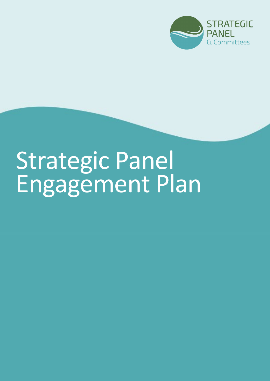

# Strategic Panel Engagement Plan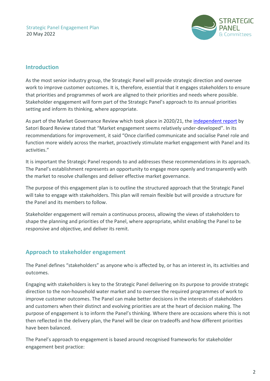

## **Introduction**

As the most senior industry group, the Strategic Panel will provide strategic direction and oversee work to improve customer outcomes. It is, therefore, essential that it engages stakeholders to ensure that priorities and programmes of work are aligned to their priorities and needs where possible. Stakeholder engagement will form part of the Strategic Panel's approach to its annual priorities setting and inform its thinking, where appropriate.

As part of the Market Governance Review which took place in 2020/21, the [independent report](https://mosl.co.uk/document/groups-and-committees/the-panel/3284-satori-panel-effectiveness-review/file) by Satori Board Review stated that "Market engagement seems relatively under-developed". In its recommendations for improvement, it said "Once clarified communicate and socialise Panel role and function more widely across the market, proactively stimulate market engagement with Panel and its activities."

It is important the Strategic Panel responds to and addresses these recommendations in its approach. The Panel's establishment represents an opportunity to engage more openly and transparently with the market to resolve challenges and deliver effective market governance.

The purpose of this engagement plan is to outline the structured approach that the Strategic Panel will take to engage with stakeholders. This plan will remain flexible but will provide a structure for the Panel and its members to follow.

Stakeholder engagement will remain a continuous process, allowing the views of stakeholders to shape the planning and priorities of the Panel, where appropriate, whilst enabling the Panel to be responsive and objective, and deliver its remit.

# **Approach to stakeholder engagement**

The Panel defines "stakeholders" as anyone who is affected by, or has an interest in, its activities and outcomes.

Engaging with stakeholders is key to the Strategic Panel delivering on its purpose to provide strategic direction to the non-household water market and to oversee the required programmes of work to improve customer outcomes. The Panel can make better decisions in the interests of stakeholders and customers when their distinct and evolving priorities are at the heart of decision making. The purpose of engagement is to inform the Panel's thinking. Where there are occasions where this is not then reflected in the delivery plan, the Panel will be clear on tradeoffs and how different priorities have been balanced.

The Panel's approach to engagement is based around recognised frameworks for stakeholder engagement best practice: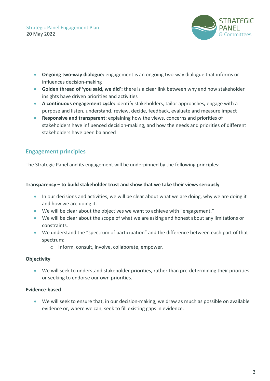Strategic Panel Engagement Plan 20 May 2022



- **Ongoing two-way dialogue:** engagement is an ongoing two-way dialogue that informs or influences decision-making
- **Golden thread of 'you said, we did':** there is a clear link between why and how stakeholder insights have driven priorities and activities
- **A continuous engagement cycle:** identify stakeholders, tailor approaches**,** engage with a purpose and listen, understand, review, decide, feedback, evaluate and measure impact
- **Responsive and transparent:** explaining how the views, concerns and priorities of stakeholders have influenced decision-making, and how the needs and priorities of different stakeholders have been balanced

# **Engagement principles**

The Strategic Panel and its engagement will be underpinned by the following principles:

#### **Transparency – to build stakeholder trust and show that we take their views seriously**

- In our decisions and activities, we will be clear about what we are doing, why we are doing it and how we are doing it.
- We will be clear about the objectives we want to achieve with "engagement."
- We will be clear about the scope of what we are asking and honest about any limitations or constraints.
- We understand the "spectrum of participation" and the difference between each part of that spectrum:
	- o Inform, consult, involve, collaborate, empower.

## **Objectivity**

• We will seek to understand stakeholder priorities, rather than pre-determining their priorities or seeking to endorse our own priorities.

## **Evidence-based**

• We will seek to ensure that, in our decision-making, we draw as much as possible on available evidence or, where we can, seek to fill existing gaps in evidence.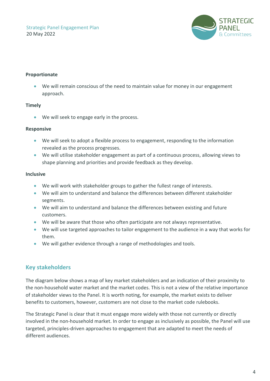

#### **Proportionate**

• We will remain conscious of the need to maintain value for money in our engagement approach.

#### **Timely**

• We will seek to engage early in the process.

#### **Responsive**

- We will seek to adopt a flexible process to engagement, responding to the information revealed as the process progresses.
- We will utilise stakeholder engagement as part of a continuous process, allowing views to shape planning and priorities and provide feedback as they develop.

#### **Inclusive**

- We will work with stakeholder groups to gather the fullest range of interests.
- We will aim to understand and balance the differences between different stakeholder segments.
- We will aim to understand and balance the differences between existing and future customers.
- We will be aware that those who often participate are not always representative.
- We will use targeted approaches to tailor engagement to the audience in a way that works for them.
- We will gather evidence through a range of methodologies and tools.

# **Key stakeholders**

The diagram below shows a map of key market stakeholders and an indication of their proximity to the non-household water market and the market codes. This is not a view of the relative importance of stakeholder views to the Panel. It is worth noting, for example, the market exists to deliver benefits to customers, however, customers are not close to the market code rulebooks.

The Strategic Panel is clear that it must engage more widely with those not currently or directly involved in the non-household market. In order to engage as inclusively as possible, the Panel will use targeted, principles-driven approaches to engagement that are adapted to meet the needs of different audiences.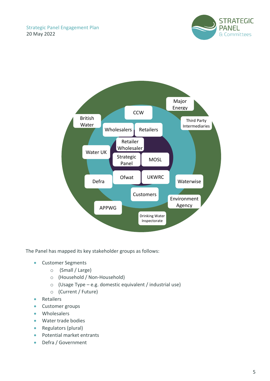



The Panel has mapped its key stakeholder groups as follows:

- Customer Segments
	- o (Small / Large)
	- o (Household / Non-Household)
	- $\circ$  (Usage Type e.g. domestic equivalent / industrial use)
	- o (Current / Future)
- Retailers
- Customer groups
- Wholesalers
- Water trade bodies
- Regulators (plural)
- Potential market entrants
- Defra / Government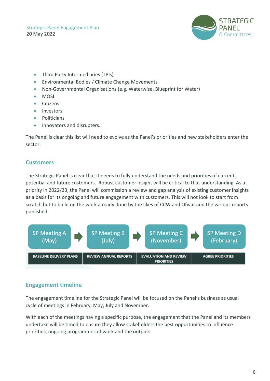Strategic Panel Engagement Plan 20 May 2022



- Third Party Intermediaries (TPIs)
- Environmental Bodies / Climate Change Movements
- Non-Governmental Organisations (e.g. Waterwise, Blueprint for Water)
- MOSL
- Citizens
- Investors
- Politicians
- Innovators and disrupters.

The Panel is clear this list will need to evolve as the Panel's priorities and new stakeholders enter the sector.

## **Customers**

The Strategic Panel is clear that it needs to fully understand the needs and priorities of current, potential and future customers. Robust customer insight will be critical to that understanding. As a priority in 2022/23, the Panel will commission a review and gap analysis of existing customer insights as a basis for its ongoing and future engagement with customers. This will not look to start from scratch but to build on the work already done by the likes of CCW and Ofwat and the various reports published.



## **Engagement timeline**

The engagement timeline for the Strategic Panel will be focused on the Panel's business as usual cycle of meetings in February, May, July and November.

With each of the meetings having a specific purpose, the engagement that the Panel and its members undertake will be timed to ensure they allow stakeholders the best opportunities to influence priorities, ongoing programmes of work and the outputs.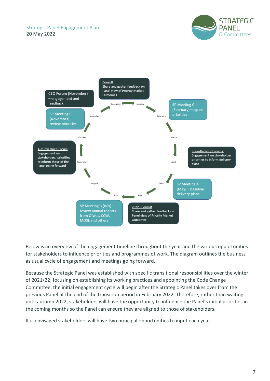



Below is an overview of the engagement timeline throughout the year and the various opportunities for stakeholders to influence priorities and programmes of work. The diagram outlines the business as usual cycle of engagement and meetings going forward.

Because the Strategic Panel was established with specific transitional responsibilities over the winter of 2021/22, focusing on establishing its working practices and appointing the Code Change Committee, the initial engagement cycle will begin after the Strategic Panel takes over from the previous Panel at the end of the transition period in February 2022. Therefore, rather than waiting until autumn 2022, stakeholders will have the opportunity to influence the Panel's initial priorities in the coming months so the Panel can ensure they are aligned to those of stakeholders.

It is envisaged stakeholders will have two principal opportunities to input each year: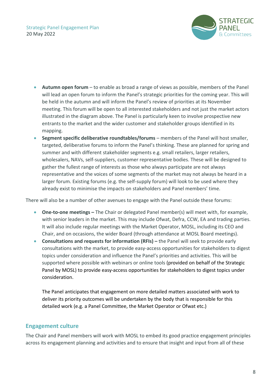

- **Autumn open forum** to enable as broad a range of views as possible, members of the Panel will lead an open forum to inform the Panel's strategic priorities for the coming year. This will be held in the autumn and will inform the Panel's review of priorities at its November meeting. This forum will be open to all interested stakeholders and not just the market actors illustrated in the diagram above. The Panel is particularly keen to involve prospective new entrants to the market and the wider customer and stakeholder groups identified in its mapping.
- **Segment specific deliberative roundtables/forums** members of the Panel will host smaller, targeted, deliberative forums to inform the Panel's thinking. These are planned for spring and summer and with different stakeholder segments e.g. small retailers, larger retailers, wholesalers, NAVs, self-suppliers, customer representative bodies. These will be designed to gather the fullest range of interests as those who always participate are not always representative and the voices of some segments of the market may not always be heard in a larger forum. Existing forums (e.g. the self-supply forum) will look to be used where they already exist to minimise the impacts on stakeholders and Panel members' time.

There will also be a number of other avenues to engage with the Panel outside these forums:

- **One-to-one meetings** The Chair or delegated Panel member(s) will meet with, for example, with senior leaders in the market. This may include Ofwat, Defra, CCW, EA and trading parties. It will also include regular meetings with the Market Operator, MOSL, including its CEO and Chair, and on occasions, the wider Board (through attendance at MOSL Board meetings).
- **Consultations and requests for information (RFIs) –** the Panel will seek to provide early consultations with the market, to provide easy-access opportunities for stakeholders to digest topics under consideration and influence the Panel's priorities and activities. This will be supported where possible with webinars or online tools (provided on behalf of the Strategic Panel by MOSL) to provide easy-access opportunities for stakeholders to digest topics under consideration.

The Panel anticipates that engagement on more detailed matters associated with work to deliver its priority outcomes will be undertaken by the body that is responsible for this detailed work (e.g. a Panel Committee, the Market Operator or Ofwat etc.)

# **Engagement culture**

The Chair and Panel members will work with MOSL to embed its good practice engagement principles across its engagement planning and activities and to ensure that insight and input from all of these